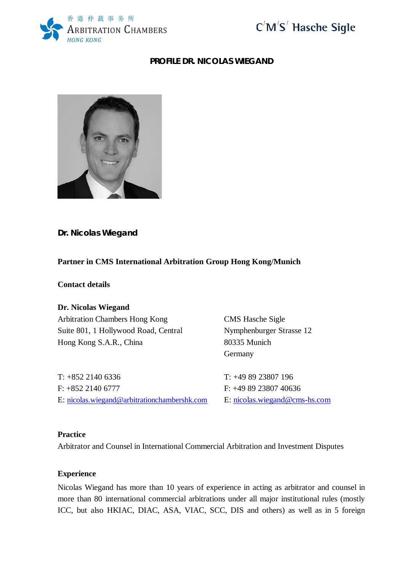



## **PROFILE DR. NICOLAS WIEGAND**



**Dr. Nicolas Wiegand**

# **Partner in CMS International Arbitration Group Hong Kong/Munich**

**Contact details**

**Dr. Nicolas Wiegand** Arbitration Chambers Hong Kong CMS Hasche Sigle Suite 801, 1 Hollywood Road, Central Nymphenburger Strasse 12 Hong Kong S.A.R., China 80335 Munich

T: +852 2140 6336 T: +49 89 23807 196 F: +852 2140 6777 F: +49 89 23807 40636 E: nicolas.wiegand@arbitrationchambershk.com E: nicolas.wiegand@cms-hs.com

Germany

### **Practice**

Arbitrator and Counsel in International Commercial Arbitration and Investment Disputes

### **Experience**

Nicolas Wiegand has more than 10 years of experience in acting as arbitrator and counsel in more than 80 international commercial arbitrations under all major institutional rules (mostly ICC, but also HKIAC, DIAC, ASA, VIAC, SCC, DIS and others) as well as in 5 foreign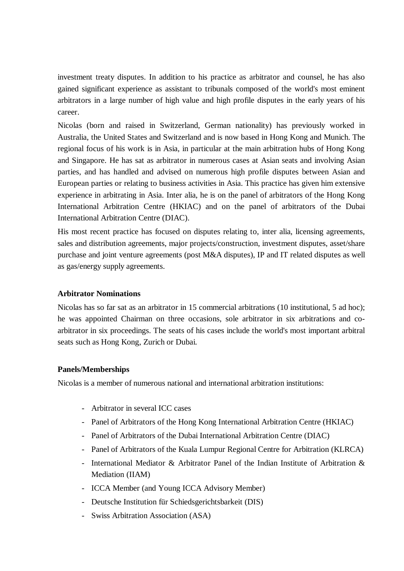investment treaty disputes. In addition to his practice as arbitrator and counsel, he has also gained significant experience as assistant to tribunals composed of the world's most eminent arbitrators in a large number of high value and high profile disputes in the early years of his career.

Nicolas (born and raised in Switzerland, German nationality) has previously worked in Australia, the United States and Switzerland and is now based in Hong Kong and Munich. The regional focus of his work is in Asia, in particular at the main arbitration hubs of Hong Kong and Singapore. He has sat as arbitrator in numerous cases at Asian seats and involving Asian parties, and has handled and advised on numerous high profile disputes between Asian and European parties or relating to business activities in Asia. This practice has given him extensive experience in arbitrating in Asia. Inter alia, he is on the panel of arbitrators of the Hong Kong International Arbitration Centre (HKIAC) and on the panel of arbitrators of the Dubai International Arbitration Centre (DIAC).

His most recent practice has focused on disputes relating to, inter alia, licensing agreements, sales and distribution agreements, major projects/construction, investment disputes, asset/share purchase and joint venture agreements (post M&A disputes), IP and IT related disputes as well as gas/energy supply agreements.

## **Arbitrator Nominations**

Nicolas has so far sat as an arbitrator in 15 commercial arbitrations (10 institutional, 5 ad hoc); he was appointed Chairman on three occasions, sole arbitrator in six arbitrations and coarbitrator in six proceedings. The seats of his cases include the world's most important arbitral seats such as Hong Kong, Zurich or Dubai.

#### **Panels/Memberships**

Nicolas is a member of numerous national and international arbitration institutions:

- Arbitrator in several ICC cases
- Panel of Arbitrators of the Hong Kong International Arbitration Centre (HKIAC)
- Panel of Arbitrators of the Dubai International Arbitration Centre (DIAC)
- Panel of Arbitrators of the Kuala Lumpur Regional Centre for Arbitration (KLRCA)
- International Mediator & Arbitrator Panel of the Indian Institute of Arbitration & Mediation (IIAM)
- ICCA Member (and Young ICCA Advisory Member)
- Deutsche Institution für Schiedsgerichtsbarkeit (DIS)
- Swiss Arbitration Association (ASA)